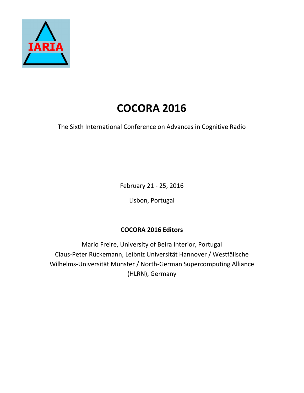

## **COCORA 2016**

The Sixth International Conference on Advances in Cognitive Radio

February 21 - 25, 2016

Lisbon, Portugal

## **COCORA 2016 Editors**

Mario Freire, University of Beira Interior, Portugal Claus-Peter Rückemann, Leibniz Universität Hannover / Westfälische Wilhelms-Universität Münster / North-German Supercomputing Alliance (HLRN), Germany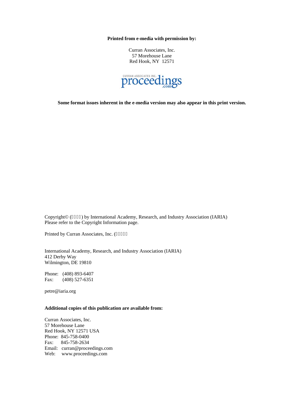**Printed from e-media with permission by:** 

Curran Associates, Inc. 57 Morehouse Lane Red Hook, NY 12571



**Some format issues inherent in the e-media version may also appear in this print version.** 

Copyright© (4238) by International Academy, Research, and Industry Association (IARIA) Please refer to the Copyright Information page.

Printed by Curran Associates, Inc. (4238+

International Academy, Research, and Industry Association (IARIA) 412 Derby Way Wilmington, DE 19810

Phone: (408) 893-6407 Fax: (408) 527-6351

petre@iaria.org

## **Additional copies of this publication are available from:**

Curran Associates, Inc. 57 Morehouse Lane Red Hook, NY 12571 USA Phone: 845-758-0400 Fax: 845-758-2634 Email: curran@proceedings.com Web: www.proceedings.com